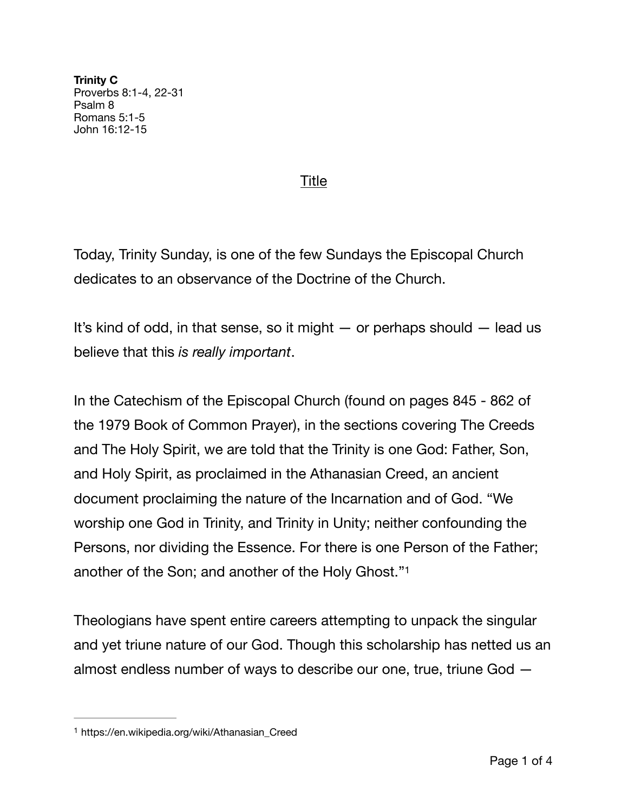**Trinity C**  Proverbs 8:1-4, 22-31 Psalm 8 Romans 5:1-5 John 16:12-15

## Title

Today, Trinity Sunday, is one of the few Sundays the Episcopal Church dedicates to an observance of the Doctrine of the Church.

It's kind of odd, in that sense, so it might  $-$  or perhaps should  $-$  lead us believe that this *is really important*.

In the Catechism of the Episcopal Church (found on pages 845 - 862 of the 1979 Book of Common Prayer), in the sections covering The Creeds and The Holy Spirit, we are told that the Trinity is one God: Father, Son, and Holy Spirit, as proclaimed in the Athanasian Creed, an ancient document proclaiming the nature of the Incarnation and of God. "We worship one God in Trinity, and Trinity in Unity; neither confounding the Persons, nor dividing the Essence. For there is one Person of the Father; another of the Son; and another of the Holy Ghost."[1](#page-0-0)

<span id="page-0-1"></span>Theologians have spent entire careers attempting to unpack the singular and yet triune nature of our God. Though this scholarship has netted us an almost endless number of ways to describe our one, true, triune God —

<span id="page-0-0"></span>[<sup>1</sup>](#page-0-1) https://en.wikipedia.org/wiki/Athanasian\_Creed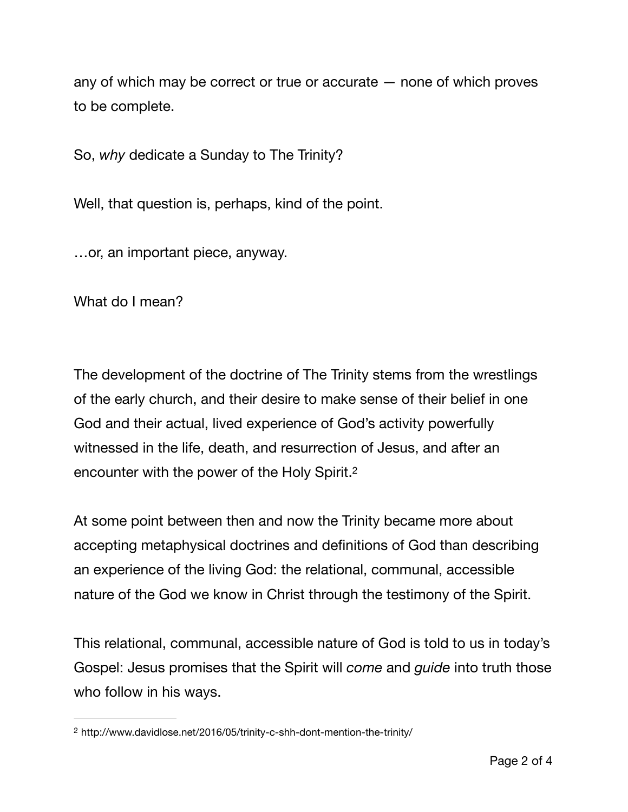any of which may be correct or true or accurate — none of which proves to be complete.

So, *why* dedicate a Sunday to The Trinity?

Well, that question is, perhaps, kind of the point.

…or, an important piece, anyway.

What do I mean?

The development of the doctrine of The Trinity stems from the wrestlings of the early church, and their desire to make sense of their belief in one God and their actual, lived experience of God's activity powerfully witnessed in the life, death, and resurrection of Jesus, and after an encounter with the power of the Holy Spirit.[2](#page-1-0)

<span id="page-1-1"></span>At some point between then and now the Trinity became more about accepting metaphysical doctrines and definitions of God than describing an experience of the living God: the relational, communal, accessible nature of the God we know in Christ through the testimony of the Spirit.

This relational, communal, accessible nature of God is told to us in today's Gospel: Jesus promises that the Spirit will *come* and *guide* into truth those who follow in his ways.

<span id="page-1-0"></span>http://www.davidlose.net/2016/05/trinity-c-shh-dont-mention-the-trinity/ [2](#page-1-1)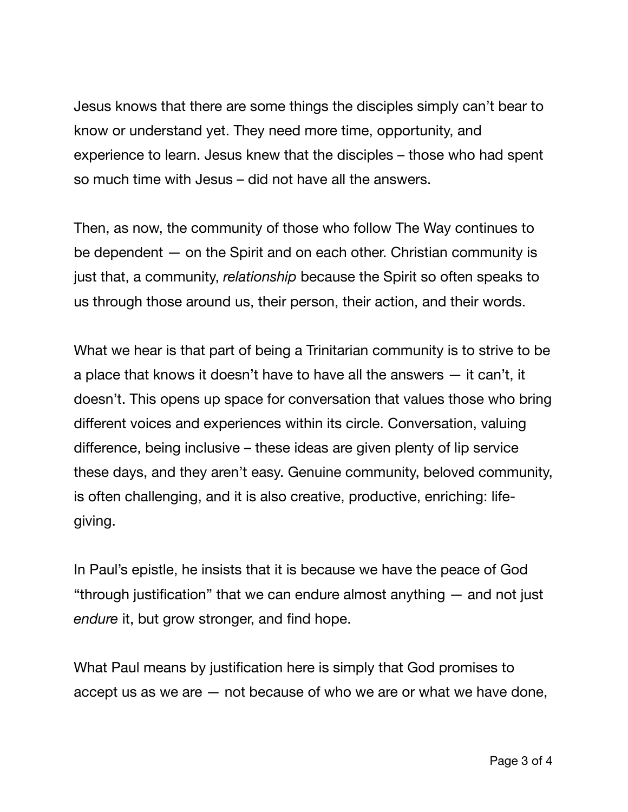Jesus knows that there are some things the disciples simply can't bear to know or understand yet. They need more time, opportunity, and experience to learn. Jesus knew that the disciples – those who had spent so much time with Jesus – did not have all the answers.

Then, as now, the community of those who follow The Way continues to be dependent — on the Spirit and on each other. Christian community is just that, a community, *relationship* because the Spirit so often speaks to us through those around us, their person, their action, and their words.

What we hear is that part of being a Trinitarian community is to strive to be a place that knows it doesn't have to have all the answers — it can't, it doesn't. This opens up space for conversation that values those who bring different voices and experiences within its circle. Conversation, valuing difference, being inclusive – these ideas are given plenty of lip service these days, and they aren't easy. Genuine community, beloved community, is often challenging, and it is also creative, productive, enriching: lifegiving.

In Paul's epistle, he insists that it is because we have the peace of God "through justification" that we can endure almost anything — and not just *endure* it, but grow stronger, and find hope.

What Paul means by justification here is simply that God promises to accept us as we are — not because of who we are or what we have done,